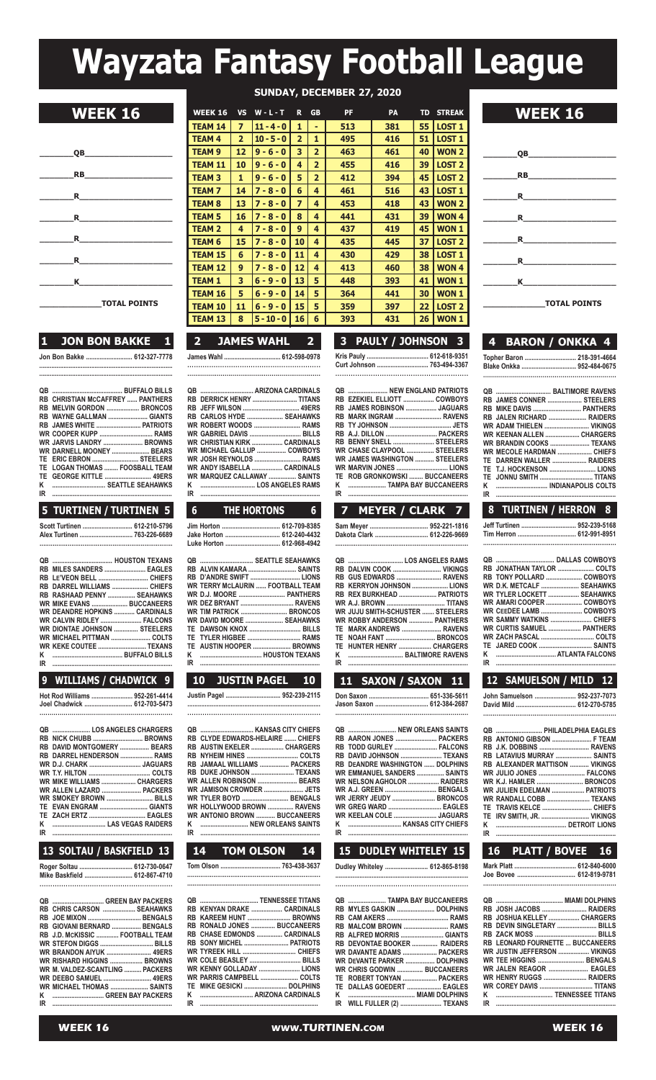# **Wayzata Fantasy Football League**

| SUNDAY, DECEMBER 27, 2020 |  |
|---------------------------|--|
|                           |  |



|  |  | IVIAL FUINIJ |  |  |  |
|--|--|--------------|--|--|--|
|  |  |              |  |  |  |
|  |  |              |  |  |  |
|  |  |              |  |  |  |

# **1 JON BON BAKKE 1**

**Jon Bon Bakke ........................... 612-327-7778 ............................................................................. .............................................................................**

|    | <b>RB CHRISTIAN MCCAFFREY  PANTHERS</b> |
|----|-----------------------------------------|
|    | RB MELVIN GORDON  BRONCOS               |
|    | RB WAYNE GALLMAN  GIANTS                |
|    | RB JAMES WHITE  PATRIOTS                |
|    | <b>WR COOPER KUPP  RAMS</b>             |
|    | WR JARVIS LANDRY  BROWNS                |
|    | WR DARNELL MOONEY  BEARS                |
|    | TE ERIC EBRON  STEELERS                 |
|    | TE LOGAN THOMAS  FOOSBALL TEAM          |
|    |                                         |
| κ  | SEATTLE SEAHAWKS                        |
| IR |                                         |

### **5 TURTINEN / TURTINEN 5**

| Scott Turtinen  612-210-5796 |  |
|------------------------------|--|
|                              |  |

| RB MILES SANDERS  EAGLES             |  |
|--------------------------------------|--|
| RB LE'VEON BELL  CHIEFS              |  |
| RB DARREL WILLIAMS  CHIEFS           |  |
| RB RASHAAD PENNY  SEAHAWKS           |  |
| <b>WR MIKE EVANS  BUCCANEERS</b>     |  |
| <b>WR DEANDRE HOPKINS  CARDINALS</b> |  |
| WR CALVIN RIDLEY  FALCONS            |  |
| WR DIONTAE JOHNSON  STEELERS         |  |
| WR_MICHAEL PITTMAN  COLTS            |  |
| WR KEKE COUTEE  TEXANS               |  |
|                                      |  |
|                                      |  |
|                                      |  |

## **9 WILLIAMS / CHADWICK 9**

**..................................................................**

**hot Rod Williams ........................ 952-261-4414 Joel Chadwick ............................ 612-703-5473**

|    | QB  LOS ANGELES CHARGERS   |  |
|----|----------------------------|--|
|    |                            |  |
|    | RB DAVID MONTGOMERY  BEARS |  |
|    | RB DARREL HENDERSON  RAMS  |  |
|    |                            |  |
|    |                            |  |
|    | WR MIKE WILLIAMS  CHARGERS |  |
|    | WR ALLEN LAZARD  PACKERS   |  |
|    | WR SMOKEY BROWN  BILLS     |  |
|    | TE EVAN ENGRAM  GIANTS     |  |
|    | TE ZACH ERTZ  EAGLES       |  |
| κ  |                            |  |
| IR |                            |  |

# **13 SOLTAU / BASKFIELD 13 Roger soltau ............................... 612-730-0647**

**Mike Baskfield ............................ 612-867-4710 .............................................................**

|    | QB  GREEN BAY PACKERS           |
|----|---------------------------------|
|    | RB CHRIS CARSON  SEAHAWKS       |
|    |                                 |
|    | RB GIOVANI BERNARD  BENGALS     |
|    | RB J.D. MCKISSIC  FOOTBALL TEAM |
|    |                                 |
|    | <b>WR BRANDON AIYUK  49ERS</b>  |
|    | WR RISHARD HIGGINS  BROWNS      |
|    | WR M. VALDEZ-SCANTLING  PACKERS |
|    | <b>WR DEEBO SAMUEL  49ERS</b>   |
|    | WR MICHAEL THOMAS  SAINTS       |
| ĸ  |                                 |
| IR |                                 |
|    |                                 |

| <b>WEEK 16</b> | <b>WWW.TURTINEN.com</b> | <b>WEEK 16</b> |
|----------------|-------------------------|----------------|
|                |                         |                |

| <b>WEEK 16</b>      | <b>WEEK 16</b> | <b>VS</b>       | $W - L - T$  | R.             | <b>GB</b>               | <b>PF</b> | <b>PA</b> |                 | <b>TD STREAK</b>  | <b>WEEK 16</b>   |
|---------------------|----------------|-----------------|--------------|----------------|-------------------------|-----------|-----------|-----------------|-------------------|------------------|
|                     | <b>TEAM 14</b> | 7               | $11 - 4 - 0$ | 1              | ٠                       | 513       | 381       | 55              | <b>LOST 1</b>     |                  |
|                     | TEAM 4         | $\overline{2}$  | $10 - 5 - 0$ | $\overline{2}$ |                         | 495       | 416       | 51              | <b>LOST 1</b>     |                  |
| OВ                  | <b>TEAM 9</b>  | 12 <sub>2</sub> | $9 - 6 - 0$  | 3              | $\overline{2}$          | 463       | 461       | 40              | <b>WON 2</b>      | OВ               |
|                     | TEAM 11        | 10              | $9 - 6 - 0$  | 4              | $\overline{2}$          | 455       | 416       | 39              | LOST <sub>2</sub> |                  |
| <b>RB</b>           | <b>TEAM3</b>   | $\mathbf{1}$    | $9 - 6 - 0$  | 5              | $\overline{2}$          | 412       | 394       | 45              | <b>LOST 2</b>     | <b>RB</b>        |
| $\mathbf R$         | <b>TEAM7</b>   | 14              | $7 - 8 - 0$  | 6              | $\overline{\mathbf{4}}$ | 461       | 516       | 43              | <b>LOST 1</b>     | $\mathbf{R}$     |
|                     | <b>TEAM 8</b>  | 13              | $7 - 8 - 0$  | 7              | 4                       | 453       | 418       | 43              | <b>WON 2</b>      |                  |
| <b>R</b>            | <b>TEAM 5</b>  | 16              | $7 - 8 - 0$  | 8              | 4                       | 441       | 431       | 39              | <b>WON4</b>       | R                |
|                     | <b>TEAM 2</b>  | 4               | $7 - 8 - 0$  | 9              | 4                       | 437       | 419       | 45              | <b>WON1</b>       |                  |
| R.                  | <b>TEAM 6</b>  | 15              | $7 - 8 - 0$  | 10             | 4                       | 435       | 445       | 37              | <b>LOST 2</b>     | R.               |
| <b>R</b>            | <b>TEAM 15</b> | 6               | $7 - 8 - 0$  | 11             | 4                       | 430       | 429       | 38              | <b>LOST 1</b>     | $\mathbf{R}$     |
|                     | <b>TEAM 12</b> | 9               | $7 - 8 - 0$  | 12             | 4                       | 413       | 460       | 38              | <b>WON4</b>       |                  |
| K                   | <b>TEAM 1</b>  | 3               | $6 - 9 - 0$  | 13             | 5                       | 448       | 393       | 41              | <b>WON1</b>       | K                |
|                     | <b>TEAM 16</b> | 5               | $6 - 9 - 0$  | 14             | 5                       | 364       | 441       | 30              | <b>WON1</b>       |                  |
| <b>TOTAL POINTS</b> | <b>TEAM 10</b> | 11              | $6 - 9 - 0$  | 15             | 5                       | 359       | 397       | 22              | <b>LOST 2</b>     | <b>TOTAL POI</b> |
|                     | <b>TEAM 13</b> | 8               | $5 - 10 - 0$ | 16             | 6                       | 393       | 431       | 26 <sub>1</sub> | WON <sub>1</sub>  |                  |
|                     |                |                 |              |                |                         |           |           |                 |                   |                  |

| $\rightarrow$ | <b>LIAMES WAHL</b> |  |  |
|---------------|--------------------|--|--|
|               |                    |  |  |
|               |                    |  |  |
|               |                    |  |  |

|  | RB DERRICK HENRY  TITANS     |
|--|------------------------------|
|  | RB JEFF WILSON  49ERS        |
|  | RB CARLOS HYDE  SEAHAWKS     |
|  | WR ROBERT WOODS  RAMS        |
|  | WR GABRIEL DAVIS  BILLS      |
|  | WR CHRISTIAN KIRK  CARDINALS |
|  | WR MICHAEL GALLUP  COWBOYS   |
|  | WR JOSH REYNOLDS  RAMS       |
|  | WR ANDY ISABELLA  CARDINALS  |
|  | WR MARQUEZ CALLAWAY  SAINTS  |
|  |                              |
|  |                              |
|  |                              |

| 6 THE HORTONS 6                 |  |
|---------------------------------|--|
| Jim Horton  612-709-8385        |  |
| Jake Horton  612-240-4432       |  |
| Luke Horton  612-968-4942       |  |
| QB   SEATTLE SEAHAWKS           |  |
| RB ALVIN KAMARA  SAINTS         |  |
| RB D'ANDRE SWIFT  LIONS         |  |
| WR TERRY MCLAURIN FOOTRALL TEAM |  |

|  | WR TERRY MCLAURIN  FOOTBALL TEAM |
|--|----------------------------------|
|  | WR D.J. MOORE  PANTHERS          |
|  | WR DEZ BRYANT  RAVENS            |
|  | WR TIM PATRICK  BRONCOS          |
|  | WR DAVID MOORE  SEAHAWKS         |
|  | TE DAWSON KNOX  BILLS            |
|  | TE TYLER HIGBEE  RAMS            |
|  | TE AUSTIN HOOPER  BROWNS         |
|  |                                  |
|  |                                  |
|  |                                  |

| <b>JUSTIN PAGEL</b><br><b>10</b>                                      | 11 SAXON / SAXON 11                                      | 12 SAMUELSON / MILD 12                               |
|-----------------------------------------------------------------------|----------------------------------------------------------|------------------------------------------------------|
|                                                                       | Don Saxon  651-336-5611<br>Jason Saxon  612-384-2687     | John Samuelson  952-237-707                          |
|                                                                       |                                                          | QB  PHILADELPHIA EAGLE                               |
| <b>RB CLYDE EDWARDS-HELAIRE  CHIEFS</b><br>RB AUSTIN EKELER  CHARGERS | RB AARON JONES  PACKERS<br>RB TODD GURLEY  FALCONS       | RB ANTONIO GIBSON  F TEAI                            |
|                                                                       | RB DAVID JOHNSON  TEXANS                                 | RB LATAVIUS MURRAY  SAINT                            |
| RB JAMAAL WILLIAMS  PACKERS                                           | <b>RB DEANDRE WASHINGTON  DOLPHINS</b>                   | <b>RB ALEXANDER MATTISON  VIKING</b>                 |
| RB DUKE JOHNSON  TEXANS                                               | <b>WR EMMANUEL SANDERS  SAINTS</b>                       | WR JULIO JONES  FALCON                               |
| WR ALLEN ROBINSON  BEARS<br>WR JAMISON CROWDER  JETS                  | <b>WR NELSON AGHOLOR  RAIDERS</b>                        |                                                      |
| <b>WR TYLER BOYD  BENGALS</b>                                         | <b>WR A.J. GREEN  BENGALS</b><br>WR JERRY JEUDY  BRONCOS | WR JULIEN EDELMAN  PATRIOT<br>WR RANDALL COBB  TEXAN |
| WR HOLLYWOOD BROWN  RAVENS                                            |                                                          |                                                      |
| <b>WR ANTONIO BROWN  BUCCANEERS</b>                                   | WR KEELAN COLE  JAGUARS                                  | TE IRV SMITH, JR.  VIKING                            |
|                                                                       |                                                          | ĸ                                                    |
| IR                                                                    | IR                                                       | IR                                                   |

| <b>14.</b> | TOM OLSON 14 |              | <b>15 DUDLEY WHITELEY 15 I</b> | 16 PLATT / BOVEE 16 |
|------------|--------------|--------------|--------------------------------|---------------------|
|            |              | 763-438-3637 | Dudley Whiteley  612-865-8198  | . 612-840-6000      |
|            |              |              |                                | 612-819-9781        |
|            |              |              |                                |                     |

|  | <b>QB  TENNESSEE TITANS</b>        |
|--|------------------------------------|
|  | RB KENYAN DRAKE  CARDINALS         |
|  | RB KAREEM HUNT  BROWNS             |
|  | RB RONALD JONES  BUCCANEERS        |
|  | <b>RB CHASE EDMONDS  CARDINALS</b> |
|  | RB SONY MICHEL  PATRIOTS           |
|  | WR TYREEK HILL  CHIEFS             |
|  | <b>WR COLE BEASLEY  BILLS</b>      |
|  | WR KENNY GOLLADAY  LIONS           |
|  | WR PARRIS CAMPBELL  COLTS          |
|  |                                    |
|  | K ………………………… ARIZONA CARDINALS     |
|  |                                    |
|  |                                    |

| 3 PAULY / JOHNSON 3        |  |  |  |  |  |  |  |  |  |  |  |  |
|----------------------------|--|--|--|--|--|--|--|--|--|--|--|--|
| Kris Pauly  612-618-9351   |  |  |  |  |  |  |  |  |  |  |  |  |
| Curt Johnson  763-494-3367 |  |  |  |  |  |  |  |  |  |  |  |  |
|                            |  |  |  |  |  |  |  |  |  |  |  |  |

|    | QB  NEW ENGLAND PATRIOTS             |  |
|----|--------------------------------------|--|
|    | RB EZEKIEL ELLIOTT  COWBOYS          |  |
|    | RB JAMES ROBINSON  JAGUARS           |  |
|    | RB MARK INGRAM  RAVENS               |  |
|    |                                      |  |
|    |                                      |  |
|    | RB BENNY SNELL  STEELERS             |  |
|    | WR CHASE CLAYPOOL  STEELERS          |  |
|    | <b>WR JAMES WASHINGTON  STEELERS</b> |  |
|    |                                      |  |
|    | TE ROB GRONKOWSKI  BUCCANEERS        |  |
| ĸ  | <b>EXAMPLE BAY BUCCANEERS</b>        |  |
| IR |                                      |  |

# **sam Meyer .................................. 952-221-1816 dakota Clark ............................... 612-226-9669 ........................................................................**

|   | RB GUS EDWARDS  RAVENS             |
|---|------------------------------------|
|   | RB KERRYON JOHNSON  LIONS          |
|   | RB REX BURKHEAD  PATRIOTS          |
|   |                                    |
|   | WR JUJU SMITH-SCHUSTER  STEELERS   |
|   | <b>WR ROBBY ANDERSON  PANTHERS</b> |
|   | TE MARK ANDREWS  RAVENS            |
|   | TE NOAH FANT  BRONCOS              |
|   | TE HUNTER HENRY  CHARGERS          |
|   |                                    |
| m |                                    |

|                                 | <b>VVK</b>      |
|---------------------------------|-----------------|
| TE NOAH FANT  BRONCOS           | WR <sub>2</sub> |
| TE HUNTER HENRY  CHARGERS       | TE J            |
|                                 | K.              |
| IR                              | IR.             |
| 11 SAXON / SAXON 11             | 12              |
|                                 |                 |
|                                 | John            |
| Jason Saxon  612-384-2687       | David           |
|                                 |                 |
|                                 | QB.             |
| <b>DR AADON IONES CONCIDENT</b> | DD /            |

| RB AARON JONES  PACKERS            |  |
|------------------------------------|--|
| RB TODD GURLEY  FALCONS            |  |
| RB DAVID JOHNSON  TEXANS           |  |
| RB DEANDRE WASHINGTON  DOLPHINS    |  |
| <b>WR EMMANUEL SANDERS  SAINTS</b> |  |
| WR NELSON AGHOLOR  RAIDERS         |  |
| WR A.J. GREEN  BENGALS             |  |
| WR JERRY JEUDY  BRONCOS            |  |
| <b>WR GREG WARD  EAGLES</b>        |  |
| WR KEELAN COLE  JAGUARS            |  |
|                                    |  |
|                                    |  |

| <b>QB  TAMPA BAY BUCCANEERS</b>    |  |
|------------------------------------|--|
| RB MYLES GASKIN  DOLPHINS          |  |
|                                    |  |
| RB MALCOM BROWN  RAMS              |  |
| RB ALFRED MORRIS  GIANTS           |  |
| RB DEVONTAE BOOKER  RAIDERS        |  |
| WR DAVANTE ADAMS  PACKERS          |  |
| WR DEVANTE PARKER  DOLPHINS        |  |
| <b>WR CHRIS GODWIN  BUCCANEERS</b> |  |
| TE ROBERT TONYAN  PACKERS          |  |
| TE DALLAS GOEDERT  EAGLES          |  |
|                                    |  |
| IR WILL FULLER (2)  TEXANS         |  |
|                                    |  |



| 2  JAMES WAHL<br>$\overline{\mathbf{2}}$ | 3 PAULY / JOHNSON 3 | 4 BARON / ONKKA 4          |
|------------------------------------------|---------------------|----------------------------|
| mes Wahl  612-598-0978                   |                     | Topher Baron  218-391-4664 |

### **Blake onkka ................................ 952-484-0675 ...................................................................**

|  | QB  BALTIMORE RAVENS      |
|--|---------------------------|
|  | RB JAMES CONNER  STEELERS |
|  | RB MIKE DAVIS  PANTHERS   |
|  | RB JALEN RICHARD  RAIDERS |
|  | WR ADAM THIELEN  VIKINGS  |
|  | WR KEENAN ALLEN  CHARGERS |
|  | WR BRANDIN COOKS  TEXANS  |
|  | WR MECOLE HARDMAN  CHIEFS |
|  | TE DARREN WALLER  RAIDERS |
|  | TE T.J. HOCKENSON  LIONS  |
|  | TE JONNU SMITH  TITANS    |
|  | K  INDIANAPOLIS COLTS     |
|  |                           |

### **6 THE HORTONS 6 7 MEYER / CLARK 7 8 TURTINEN / HERRON 8 Jeff Turtinen ................................ 952-239-5168 Tim herron .................................. 612-991-8951 .......................................................................**

|   | RB JONATHAN TAYLOR  COLTS         |
|---|-----------------------------------|
|   | RB TONY POLLARD  COWBOYS          |
|   | WR D.K. METCALF  SEAHAWKS         |
|   | WR TYLER LOCKETT  SEAHAWKS        |
|   | WR AMARI COOPER  COWBOYS          |
|   |                                   |
|   |                                   |
|   | <b>WR CURTIS SAMUEL  PANTHERS</b> |
|   |                                   |
|   |                                   |
| ĸ |                                   |
|   |                                   |
|   |                                   |

|  | 12 SAMUELSON / MILD 12       |  |
|--|------------------------------|--|
|  | John Samuelson  952-237-7073 |  |
|  | David Mild  612-270-5785     |  |

|    | QB  PHILADELPHIA EAGLES               |  |
|----|---------------------------------------|--|
|    | RB ANTONIO GIBSON  F TEAM             |  |
|    | RB J.K. DOBBINS  RAVENS               |  |
|    | RB LATAVIUS MURRAY  SAINTS            |  |
|    | <b>RB ALEXANDER MATTISON  VIKINGS</b> |  |
|    | WR JULIO JONES  FALCONS               |  |
|    |                                       |  |
|    | <b>WR JULIEN EDELMAN  PATRIOTS</b>    |  |
|    | WR RANDALL COBB  TEXANS               |  |
|    |                                       |  |
|    | TE IRV SMITH, JR.  VIKINGS            |  |
|    |                                       |  |
| IR |                                       |  |

| RB JOSH JACOBS  RAIDERS<br>RB JOSHUA KELLEY  CHARGERS<br>RB DEVIN SINGLETARY  BILLS<br><b>RB LEONARD FOURNETTE  BUCCANEERS</b><br>WR JUSTIN JEFFERSON  VIKINGS<br>WR TEE HIGGINS  BENGALS<br>WR JALEN REAGOR  EAGLES<br>WR HENRY RUGGS  RAIDERS<br><b>WR COREY DAVIS  TITANS</b><br>K  TENNESSEE TITANS |
|---------------------------------------------------------------------------------------------------------------------------------------------------------------------------------------------------------------------------------------------------------------------------------------------------------|